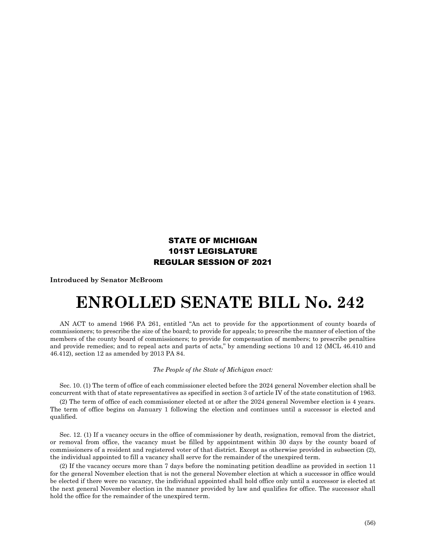## STATE OF MICHIGAN 101ST LEGISLATURE REGULAR SESSION OF 2021

**Introduced by Senator McBroom**

## **ENROLLED SENATE BILL No. 242**

AN ACT to amend 1966 PA 261, entitled "An act to provide for the apportionment of county boards of commissioners; to prescribe the size of the board; to provide for appeals; to prescribe the manner of election of the members of the county board of commissioners; to provide for compensation of members; to prescribe penalties and provide remedies; and to repeal acts and parts of acts," by amending sections 10 and 12 (MCL 46.410 and 46.412), section 12 as amended by 2013 PA 84.

## *The People of the State of Michigan enact:*

Sec. 10. (1) The term of office of each commissioner elected before the 2024 general November election shall be concurrent with that of state representatives as specified in section 3 of article IV of the state constitution of 1963.

(2) The term of office of each commissioner elected at or after the 2024 general November election is 4 years. The term of office begins on January 1 following the election and continues until a successor is elected and qualified.

Sec. 12. (1) If a vacancy occurs in the office of commissioner by death, resignation, removal from the district, or removal from office, the vacancy must be filled by appointment within 30 days by the county board of commissioners of a resident and registered voter of that district. Except as otherwise provided in subsection (2), the individual appointed to fill a vacancy shall serve for the remainder of the unexpired term.

(2) If the vacancy occurs more than 7 days before the nominating petition deadline as provided in section 11 for the general November election that is not the general November election at which a successor in office would be elected if there were no vacancy, the individual appointed shall hold office only until a successor is elected at the next general November election in the manner provided by law and qualifies for office. The successor shall hold the office for the remainder of the unexpired term.